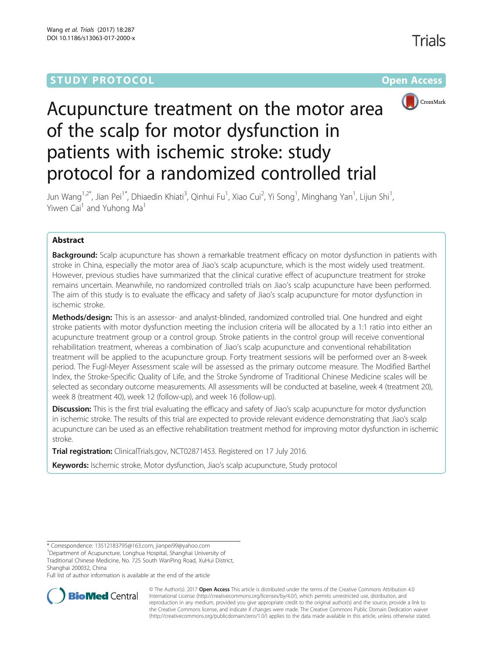## **STUDY PROTOCOL CONSUMING THE RESERVE ACCESS**



# Acupuncture treatment on the motor area of the scalp for motor dysfunction in patients with ischemic stroke: study protocol for a randomized controlled trial

Jun Wang<sup>1,2\*</sup>, Jian Pei<sup>1\*</sup>, Dhiaedin Khiati<sup>3</sup>, Qinhui Fu<sup>1</sup>, Xiao Cui<sup>2</sup>, Yi Song<sup>1</sup>, Minghang Yan<sup>1</sup>, Lijun Shi<sup>1</sup> , Yiwen Cai<sup>1</sup> and Yuhong Ma<sup>1</sup>

## Abstract

**Background:** Scalp acupuncture has shown a remarkable treatment efficacy on motor dysfunction in patients with stroke in China, especially the motor area of Jiao's scalp acupuncture, which is the most widely used treatment. However, previous studies have summarized that the clinical curative effect of acupuncture treatment for stroke remains uncertain. Meanwhile, no randomized controlled trials on Jiao's scalp acupuncture have been performed. The aim of this study is to evaluate the efficacy and safety of Jiao's scalp acupuncture for motor dysfunction in ischemic stroke.

Methods/design: This is an assessor- and analyst-blinded, randomized controlled trial. One hundred and eight stroke patients with motor dysfunction meeting the inclusion criteria will be allocated by a 1:1 ratio into either an acupuncture treatment group or a control group. Stroke patients in the control group will receive conventional rehabilitation treatment, whereas a combination of Jiao's scalp acupuncture and conventional rehabilitation treatment will be applied to the acupuncture group. Forty treatment sessions will be performed over an 8-week period. The Fugl-Meyer Assessment scale will be assessed as the primary outcome measure. The Modified Barthel Index, the Stroke-Specific Quality of Life, and the Stroke Syndrome of Traditional Chinese Medicine scales will be selected as secondary outcome measurements. All assessments will be conducted at baseline, week 4 (treatment 20), week 8 (treatment 40), week 12 (follow-up), and week 16 (follow-up).

**Discussion:** This is the first trial evaluating the efficacy and safety of Jiao's scalp acupuncture for motor dysfunction in ischemic stroke. The results of this trial are expected to provide relevant evidence demonstrating that Jiao's scalp acupuncture can be used as an effective rehabilitation treatment method for improving motor dysfunction in ischemic stroke.

Trial registration: ClinicalTrials.gov, [NCT02871453.](https://www.clinicaltrials.gov/ct2/show/NCT02871453?term=Evaluating+the+Therapeutic+Effect+of+Scalp+Acupuncture+Treatment+for+Motor+Dysfunction+in+Ischemic+Stroke+Patients&rank=) Registered on 17 July 2016.

Keywords: Ischemic stroke, Motor dysfunction, Jiao's scalp acupuncture, Study protocol

<sup>1</sup>Department of Acupuncture, Longhua Hospital, Shanghai University of

Traditional Chinese Medicine, No. 725 South WanPing Road, XuHui District, Shanghai 200032, China

Full list of author information is available at the end of the article



© The Author(s). 2017 **Open Access** This article is distributed under the terms of the Creative Commons Attribution 4.0 International License [\(http://creativecommons.org/licenses/by/4.0/](http://creativecommons.org/licenses/by/4.0/)), which permits unrestricted use, distribution, and reproduction in any medium, provided you give appropriate credit to the original author(s) and the source, provide a link to the Creative Commons license, and indicate if changes were made. The Creative Commons Public Domain Dedication waiver [\(http://creativecommons.org/publicdomain/zero/1.0/](http://creativecommons.org/publicdomain/zero/1.0/)) applies to the data made available in this article, unless otherwise stated.

<sup>\*</sup> Correspondence: [13512183795@163.com;](mailto:13512183795@163.com) [jianpei99@yahoo.com](mailto:jianpei99@yahoo.com) <sup>1</sup>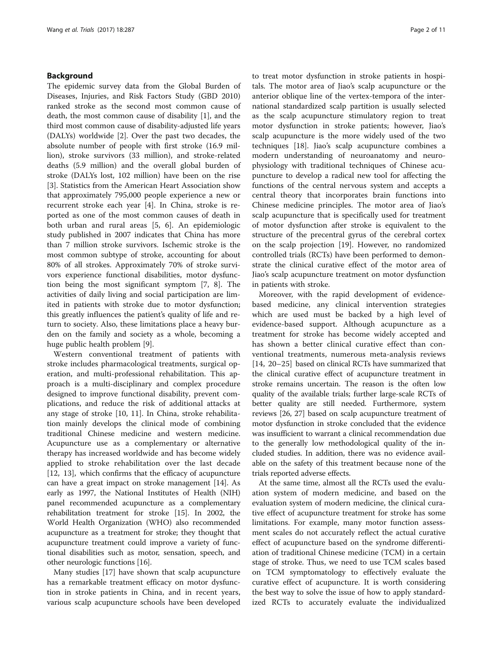## Background

The epidemic survey data from the Global Burden of Diseases, Injuries, and Risk Factors Study (GBD 2010) ranked stroke as the second most common cause of death, the most common cause of disability [\[1](#page-9-0)], and the third most common cause of disability-adjusted life years (DALYs) worldwide [[2\]](#page-9-0). Over the past two decades, the absolute number of people with first stroke (16.9 million), stroke survivors (33 million), and stroke-related deaths (5.9 million) and the overall global burden of stroke (DALYs lost, 102 million) have been on the rise [[3\]](#page-9-0). Statistics from the American Heart Association show that approximately 795,000 people experience a new or recurrent stroke each year [[4\]](#page-9-0). In China, stroke is reported as one of the most common causes of death in both urban and rural areas [[5, 6](#page-9-0)]. An epidemiologic study published in 2007 indicates that China has more than 7 million stroke survivors. Ischemic stroke is the most common subtype of stroke, accounting for about 80% of all strokes. Approximately 70% of stroke survivors experience functional disabilities, motor dysfunction being the most significant symptom [[7, 8](#page-9-0)]. The activities of daily living and social participation are limited in patients with stroke due to motor dysfunction; this greatly influences the patient's quality of life and return to society. Also, these limitations place a heavy burden on the family and society as a whole, becoming a huge public health problem [[9\]](#page-9-0).

Western conventional treatment of patients with stroke includes pharmacological treatments, surgical operation, and multi-professional rehabilitation. This approach is a multi-disciplinary and complex procedure designed to improve functional disability, prevent complications, and reduce the risk of additional attacks at any stage of stroke [[10](#page-9-0), [11](#page-9-0)]. In China, stroke rehabilitation mainly develops the clinical mode of combining traditional Chinese medicine and western medicine. Acupuncture use as a complementary or alternative therapy has increased worldwide and has become widely applied to stroke rehabilitation over the last decade [[12, 13\]](#page-9-0), which confirms that the efficacy of acupuncture can have a great impact on stroke management [\[14\]](#page-9-0). As early as 1997, the National Institutes of Health (NIH) panel recommended acupuncture as a complementary rehabilitation treatment for stroke [[15](#page-9-0)]. In 2002, the World Health Organization (WHO) also recommended acupuncture as a treatment for stroke; they thought that acupuncture treatment could improve a variety of functional disabilities such as motor, sensation, speech, and other neurologic functions [[16](#page-9-0)].

Many studies [[17\]](#page-9-0) have shown that scalp acupuncture has a remarkable treatment efficacy on motor dysfunction in stroke patients in China, and in recent years, various scalp acupuncture schools have been developed

to treat motor dysfunction in stroke patients in hospitals. The motor area of Jiao's scalp acupuncture or the anterior oblique line of the vertex-tempora of the international standardized scalp partition is usually selected as the scalp acupuncture stimulatory region to treat motor dysfunction in stroke patients; however, Jiao's scalp acupuncture is the more widely used of the two techniques [\[18\]](#page-9-0). Jiao's scalp acupuncture combines a modern understanding of neuroanatomy and neurophysiology with traditional techniques of Chinese acupuncture to develop a radical new tool for affecting the functions of the central nervous system and accepts a central theory that incorporates brain functions into Chinese medicine principles. The motor area of Jiao's scalp acupuncture that is specifically used for treatment of motor dysfunction after stroke is equivalent to the structure of the precentral gyrus of the cerebral cortex on the scalp projection [\[19](#page-9-0)]. However, no randomized controlled trials (RCTs) have been performed to demonstrate the clinical curative effect of the motor area of Jiao's scalp acupuncture treatment on motor dysfunction in patients with stroke.

Moreover, with the rapid development of evidencebased medicine, any clinical intervention strategies which are used must be backed by a high level of evidence-based support. Although acupuncture as a treatment for stroke has become widely accepted and has shown a better clinical curative effect than conventional treatments, numerous meta-analysis reviews [[14, 20](#page-9-0)–[25](#page-9-0)] based on clinical RCTs have summarized that the clinical curative effect of acupuncture treatment in stroke remains uncertain. The reason is the often low quality of the available trials; further large-scale RCTs of better quality are still needed. Furthermore, system reviews [[26](#page-9-0), [27](#page-9-0)] based on scalp acupuncture treatment of motor dysfunction in stroke concluded that the evidence was insufficient to warrant a clinical recommendation due to the generally low methodological quality of the included studies. In addition, there was no evidence available on the safety of this treatment because none of the trials reported adverse effects.

At the same time, almost all the RCTs used the evaluation system of modern medicine, and based on the evaluation system of modern medicine, the clinical curative effect of acupuncture treatment for stroke has some limitations. For example, many motor function assessment scales do not accurately reflect the actual curative effect of acupuncture based on the syndrome differentiation of traditional Chinese medicine (TCM) in a certain stage of stroke. Thus, we need to use TCM scales based on TCM symptomatology to effectively evaluate the curative effect of acupuncture. It is worth considering the best way to solve the issue of how to apply standardized RCTs to accurately evaluate the individualized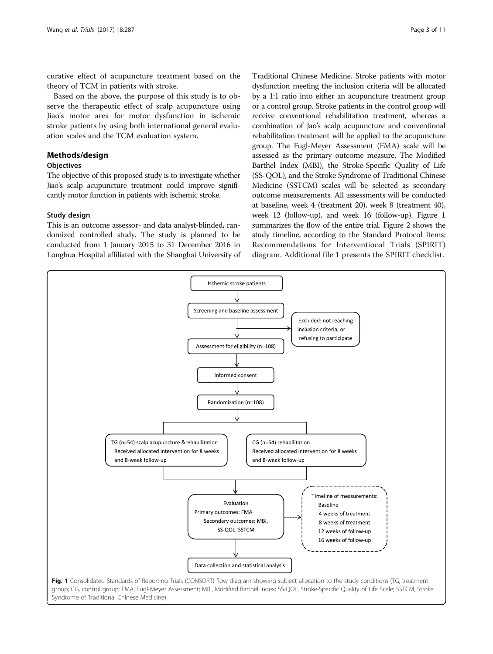curative effect of acupuncture treatment based on the theory of TCM in patients with stroke.

Based on the above, the purpose of this study is to observe the therapeutic effect of scalp acupuncture using Jiao's motor area for motor dysfunction in ischemic stroke patients by using both international general evaluation scales and the TCM evaluation system.

#### Methods/design

## **Objectives**

The objective of this proposed study is to investigate whether Jiao's scalp acupuncture treatment could improve significantly motor function in patients with ischemic stroke.

#### Study design

This is an outcome assessor- and data analyst-blinded, randomized controlled study. The study is planned to be conducted from 1 January 2015 to 31 December 2016 in Longhua Hospital affiliated with the Shanghai University of

Traditional Chinese Medicine. Stroke patients with motor dysfunction meeting the inclusion criteria will be allocated by a 1:1 ratio into either an acupuncture treatment group or a control group. Stroke patients in the control group will receive conventional rehabilitation treatment, whereas a combination of Jao's scalp acupuncture and conventional rehabilitation treatment will be applied to the acupuncture group. The Fugl-Meyer Assessment (FMA) scale will be assessed as the primary outcome measure. The Modified Barthel Index (MBI), the Stroke-Specific Quality of Life (SS-QOL), and the Stroke Syndrome of Traditional Chinese Medicine (SSTCM) scales will be selected as secondary outcome measurements. All assessments will be conducted at baseline, week 4 (treatment 20), week 8 (treatment 40), week 12 (follow-up), and week 16 (follow-up). Figure 1 summarizes the flow of the entire trial. Figure [2](#page-3-0) shows the study timeline, according to the Standard Protocol Items: Recommendations for Interventional Trials (SPIRIT) diagram. Additional file [1](#page-8-0) presents the SPIRIT checklist.

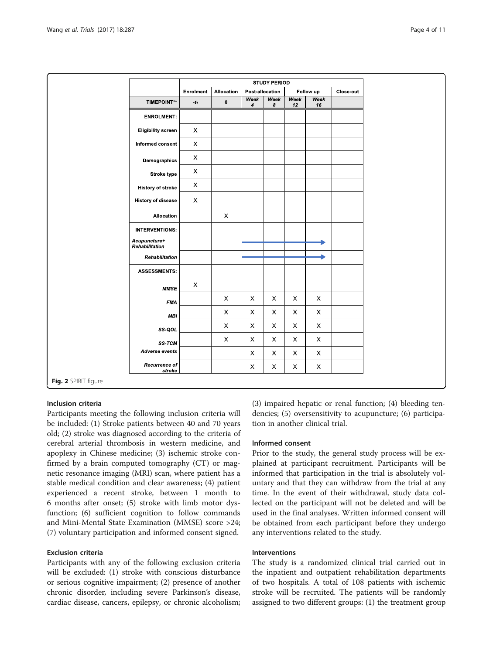<span id="page-3-0"></span>

|                                                       |                                | <b>STUDY PERIOD</b> |                           |                 |                |            |                           |           |
|-------------------------------------------------------|--------------------------------|---------------------|---------------------------|-----------------|----------------|------------|---------------------------|-----------|
|                                                       |                                |                     | Allocation                | Post-allocation |                | Follow up  |                           | Close-out |
|                                                       | <b>TIMEPOINT**</b>             | $-t_1$              | $\pmb{0}$                 | Week<br>4       | Week<br>8      | Week<br>12 | <b>Week</b><br>16         |           |
|                                                       | <b>ENROLMENT:</b>              |                     |                           |                 |                |            |                           |           |
|                                                       | <b>Eligibility screen</b>      | $\mathsf{X}$        |                           |                 |                |            |                           |           |
|                                                       | Informed consent               | $\mathsf{X}$        |                           |                 |                |            |                           |           |
|                                                       | Demographics                   | $\mathsf{X}$        |                           |                 |                |            |                           |           |
|                                                       | <b>Stroke type</b>             | $\mathsf X$         |                           |                 |                |            |                           |           |
| <b>History of stroke</b><br><b>History of disease</b> |                                | $\mathsf{X}$        |                           |                 |                |            |                           |           |
|                                                       |                                | $\mathsf{X}$        |                           |                 |                |            |                           |           |
|                                                       | Allocation                     |                     | $\mathsf X$               |                 |                |            |                           |           |
|                                                       | <b>INTERVENTIONS:</b>          |                     |                           |                 |                |            |                           |           |
|                                                       | Acupuncture+<br>Rehabilitation |                     |                           |                 |                |            | ◆                         |           |
| Rehabilitation                                        |                                |                     |                           |                 |                |            | ÷                         |           |
|                                                       | <b>ASSESSMENTS:</b>            |                     |                           |                 |                |            |                           |           |
|                                                       | <b>MMSE</b><br><b>FMA</b>      |                     |                           |                 |                |            |                           |           |
|                                                       |                                |                     | $\mathsf{X}$              | $\mathsf{x}$    | $\mathsf{X}$   | X          | $\boldsymbol{\mathsf{X}}$ |           |
|                                                       | <b>MBI</b>                     |                     | $\boldsymbol{\mathsf{X}}$ | X               | $\pmb{\times}$ | X          | $\pmb{\times}$            |           |
|                                                       | SS-QOL                         |                     | $\pmb{\times}$            | X               | $\pmb{\times}$ | X          | X                         |           |
|                                                       | SS-TCM                         |                     | $\mathsf X$               | X               | $\pmb{\times}$ | X          | $\mathsf{X}$              |           |
|                                                       | Adverse events                 |                     |                           | $\pmb{\times}$  | $\pmb{\times}$ | X          | $\pmb{\times}$            |           |
|                                                       | Recurrence of<br>stroke        |                     |                           | X               | $\pmb{\times}$ | X          | $\pmb{\times}$            |           |
| Fig. 2 SPIRIT figure                                  |                                |                     |                           |                 |                |            |                           |           |

## Inclusion criteria

Participants meeting the following inclusion criteria will be included: (1) Stroke patients between 40 and 70 years old; (2) stroke was diagnosed according to the criteria of cerebral arterial thrombosis in western medicine, and apoplexy in Chinese medicine; (3) ischemic stroke confirmed by a brain computed tomography (CT) or magnetic resonance imaging (MRI) scan, where patient has a stable medical condition and clear awareness; (4) patient experienced a recent stroke, between 1 month to 6 months after onset; (5) stroke with limb motor dysfunction; (6) sufficient cognition to follow commands and Mini-Mental State Examination (MMSE) score >24; (7) voluntary participation and informed consent signed.

## Exclusion criteria

Participants with any of the following exclusion criteria will be excluded: (1) stroke with conscious disturbance or serious cognitive impairment; (2) presence of another chronic disorder, including severe Parkinson's disease, cardiac disease, cancers, epilepsy, or chronic alcoholism; (3) impaired hepatic or renal function; (4) bleeding tendencies; (5) oversensitivity to acupuncture; (6) participation in another clinical trial.

## Informed consent

Prior to the study, the general study process will be explained at participant recruitment. Participants will be informed that participation in the trial is absolutely voluntary and that they can withdraw from the trial at any time. In the event of their withdrawal, study data collected on the participant will not be deleted and will be used in the final analyses. Written informed consent will be obtained from each participant before they undergo any interventions related to the study.

## Interventions

The study is a randomized clinical trial carried out in the inpatient and outpatient rehabilitation departments of two hospitals. A total of 108 patients with ischemic stroke will be recruited. The patients will be randomly assigned to two different groups: (1) the treatment group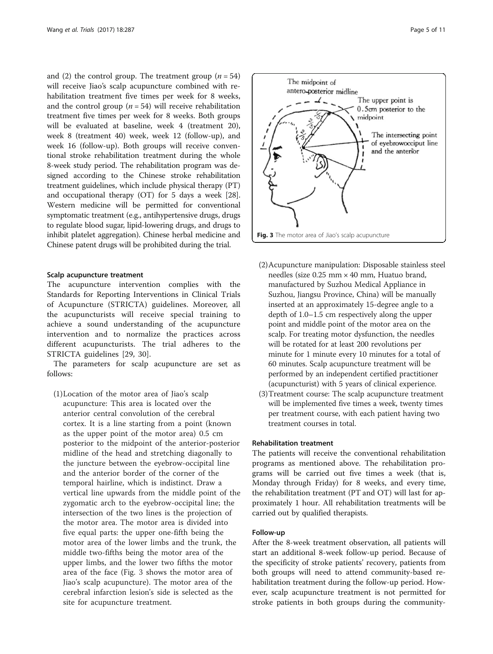and (2) the control group. The treatment group  $(n = 54)$ will receive Jiao's scalp acupuncture combined with rehabilitation treatment five times per week for 8 weeks, and the control group  $(n = 54)$  will receive rehabilitation treatment five times per week for 8 weeks. Both groups will be evaluated at baseline, week 4 (treatment 20), week 8 (treatment 40) week, week 12 (follow-up), and week 16 (follow-up). Both groups will receive conventional stroke rehabilitation treatment during the whole 8-week study period. The rehabilitation program was designed according to the Chinese stroke rehabilitation treatment guidelines, which include physical therapy (PT) and occupational therapy (OT) for 5 days a week [[28](#page-9-0)]. Western medicine will be permitted for conventional symptomatic treatment (e.g., antihypertensive drugs, drugs to regulate blood sugar, lipid-lowering drugs, and drugs to inhibit platelet aggregation). Chinese herbal medicine and Chinese patent drugs will be prohibited during the trial.

## Scalp acupuncture treatment

The acupuncture intervention complies with the Standards for Reporting Interventions in Clinical Trials of Acupuncture (STRICTA) guidelines. Moreover, all the acupuncturists will receive special training to achieve a sound understanding of the acupuncture intervention and to normalize the practices across different acupuncturists. The trial adheres to the STRICTA guidelines [[29, 30\]](#page-9-0).

The parameters for scalp acupuncture are set as follows:

(1)Location of the motor area of Jiao's scalp acupuncture: This area is located over the anterior central convolution of the cerebral cortex. It is a line starting from a point (known as the upper point of the motor area) 0.5 cm posterior to the midpoint of the anterior-posterior midline of the head and stretching diagonally to the juncture between the eyebrow-occipital line and the anterior border of the corner of the temporal hairline, which is indistinct. Draw a vertical line upwards from the middle point of the zygomatic arch to the eyebrow-occipital line; the intersection of the two lines is the projection of the motor area. The motor area is divided into five equal parts: the upper one-fifth being the motor area of the lower limbs and the trunk, the middle two-fifths being the motor area of the upper limbs, and the lower two fifths the motor area of the face (Fig. 3 shows the motor area of Jiao's scalp acupuncture). The motor area of the cerebral infarction lesion's side is selected as the site for acupuncture treatment.



- (2)Acupuncture manipulation: Disposable stainless steel needles (size 0.25 mm × 40 mm, Huatuo brand, manufactured by Suzhou Medical Appliance in Suzhou, Jiangsu Province, China) will be manually inserted at an approximately 15-degree angle to a depth of 1.0–1.5 cm respectively along the upper point and middle point of the motor area on the scalp. For treating motor dysfunction, the needles will be rotated for at least 200 revolutions per minute for 1 minute every 10 minutes for a total of 60 minutes. Scalp acupuncture treatment will be performed by an independent certified practitioner (acupuncturist) with 5 years of clinical experience.
- (3)Treatment course: The scalp acupuncture treatment will be implemented five times a week, twenty times per treatment course, with each patient having two treatment courses in total.

#### Rehabilitation treatment

The patients will receive the conventional rehabilitation programs as mentioned above. The rehabilitation programs will be carried out five times a week (that is, Monday through Friday) for 8 weeks, and every time, the rehabilitation treatment (PT and OT) will last for approximately 1 hour. All rehabilitation treatments will be carried out by qualified therapists.

## Follow-up

After the 8-week treatment observation, all patients will start an additional 8-week follow-up period. Because of the specificity of stroke patients' recovery, patients from both groups will need to attend community-based rehabilitation treatment during the follow-up period. However, scalp acupuncture treatment is not permitted for stroke patients in both groups during the community-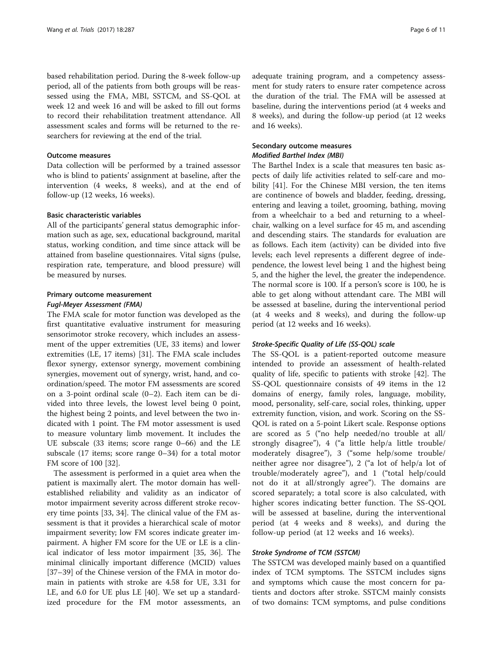based rehabilitation period. During the 8-week follow-up period, all of the patients from both groups will be reassessed using the FMA, MBI, SSTCM, and SS-QOL at week 12 and week 16 and will be asked to fill out forms to record their rehabilitation treatment attendance. All assessment scales and forms will be returned to the researchers for reviewing at the end of the trial.

#### Outcome measures

Data collection will be performed by a trained assessor who is blind to patients' assignment at baseline, after the intervention (4 weeks, 8 weeks), and at the end of follow-up (12 weeks, 16 weeks).

## Basic characteristic variables

All of the participants' general status demographic information such as age, sex, educational background, marital status, working condition, and time since attack will be attained from baseline questionnaires. Vital signs (pulse, respiration rate, temperature, and blood pressure) will be measured by nurses.

## Primary outcome measurement Fugl-Meyer Assessment (FMA)

The FMA scale for motor function was developed as the first quantitative evaluative instrument for measuring sensorimotor stroke recovery, which includes an assessment of the upper extremities (UE, 33 items) and lower extremities (LE, 17 items) [[31](#page-9-0)]. The FMA scale includes flexor synergy, extensor synergy, movement combining synergies, movement out of synergy, wrist, hand, and coordination/speed. The motor FM assessments are scored on a 3-point ordinal scale (0–2). Each item can be divided into three levels, the lowest level being 0 point, the highest being 2 points, and level between the two indicated with 1 point. The FM motor assessment is used to measure voluntary limb movement. It includes the UE subscale (33 items; score range 0–66) and the LE subscale (17 items; score range 0–34) for a total motor FM score of 100 [[32\]](#page-9-0).

The assessment is performed in a quiet area when the patient is maximally alert. The motor domain has wellestablished reliability and validity as an indicator of motor impairment severity across different stroke recovery time points [\[33](#page-9-0), [34](#page-9-0)]. The clinical value of the FM assessment is that it provides a hierarchical scale of motor impairment severity; low FM scores indicate greater impairment. A higher FM score for the UE or LE is a clinical indicator of less motor impairment [[35, 36\]](#page-9-0). The minimal clinically important difference (MCID) values [[37](#page-9-0)–[39](#page-9-0)] of the Chinese version of the FMA in motor domain in patients with stroke are 4.58 for UE, 3.31 for LE, and 6.0 for UE plus LE [[40\]](#page-9-0). We set up a standardized procedure for the FM motor assessments, an

adequate training program, and a competency assessment for study raters to ensure rater competence across the duration of the trial. The FMA will be assessed at baseline, during the interventions period (at 4 weeks and 8 weeks), and during the follow-up period (at 12 weeks and 16 weeks).

## Secondary outcome measures Modified Barthel Index (MBI)

The Barthel Index is a scale that measures ten basic aspects of daily life activities related to self-care and mobility [[41](#page-9-0)]. For the Chinese MBI version, the ten items are continence of bowels and bladder, feeding, dressing, entering and leaving a toilet, grooming, bathing, moving from a wheelchair to a bed and returning to a wheelchair, walking on a level surface for 45 m, and ascending and descending stairs. The standards for evaluation are as follows. Each item (activity) can be divided into five levels; each level represents a different degree of independence, the lowest level being 1 and the highest being 5, and the higher the level, the greater the independence. The normal score is 100. If a person's score is 100, he is able to get along without attendant care. The MBI will be assessed at baseline, during the interventional period (at 4 weeks and 8 weeks), and during the follow-up period (at 12 weeks and 16 weeks).

#### Stroke-Specific Quality of Life (SS-QOL) scale

The SS-QOL is a patient-reported outcome measure intended to provide an assessment of health-related quality of life, specific to patients with stroke [\[42](#page-9-0)]. The SS-QOL questionnaire consists of 49 items in the 12 domains of energy, family roles, language, mobility, mood, personality, self-care, social roles, thinking, upper extremity function, vision, and work. Scoring on the SS-QOL is rated on a 5-point Likert scale. Response options are scored as 5 ("no help needed/no trouble at all/ strongly disagree"), 4 ("a little help/a little trouble/ moderately disagree"), 3 ("some help/some trouble/ neither agree nor disagree"), 2 ("a lot of help/a lot of trouble/moderately agree"), and 1 ("total help/could not do it at all/strongly agree"). The domains are scored separately; a total score is also calculated, with higher scores indicating better function. The SS-QOL will be assessed at baseline, during the interventional period (at 4 weeks and 8 weeks), and during the follow-up period (at 12 weeks and 16 weeks).

#### Stroke Syndrome of TCM (SSTCM)

The SSTCM was developed mainly based on a quantified index of TCM symptoms. The SSTCM includes signs and symptoms which cause the most concern for patients and doctors after stroke. SSTCM mainly consists of two domains: TCM symptoms, and pulse conditions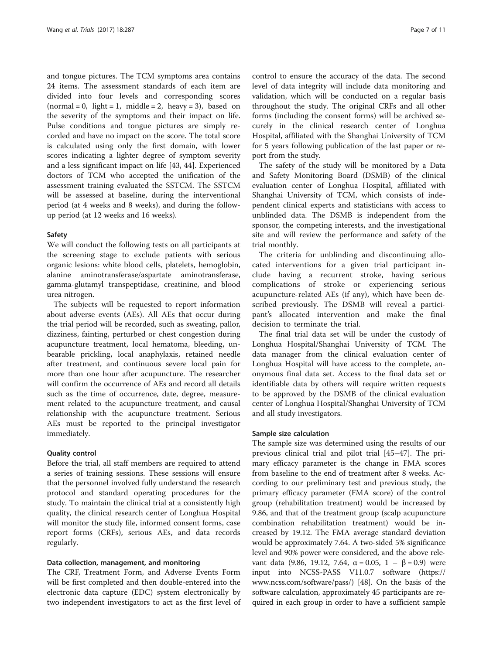and tongue pictures. The TCM symptoms area contains 24 items. The assessment standards of each item are divided into four levels and corresponding scores  $normal = 0$ , light = 1, middle = 2, heavy = 3), based on the severity of the symptoms and their impact on life. Pulse conditions and tongue pictures are simply recorded and have no impact on the score. The total score is calculated using only the first domain, with lower scores indicating a lighter degree of symptom severity and a less significant impact on life [\[43](#page-9-0), [44](#page-9-0)]. Experienced doctors of TCM who accepted the unification of the assessment training evaluated the SSTCM. The SSTCM will be assessed at baseline, during the interventional period (at 4 weeks and 8 weeks), and during the followup period (at 12 weeks and 16 weeks).

#### Safety

We will conduct the following tests on all participants at the screening stage to exclude patients with serious organic lesions: white blood cells, platelets, hemoglobin, alanine aminotransferase/aspartate aminotransferase, gamma-glutamyl transpeptidase, creatinine, and blood urea nitrogen.

The subjects will be requested to report information about adverse events (AEs). All AEs that occur during the trial period will be recorded, such as sweating, pallor, dizziness, fainting, perturbed or chest congestion during acupuncture treatment, local hematoma, bleeding, unbearable prickling, local anaphylaxis, retained needle after treatment, and continuous severe local pain for more than one hour after acupuncture. The researcher will confirm the occurrence of AEs and record all details such as the time of occurrence, date, degree, measurement related to the acupuncture treatment, and causal relationship with the acupuncture treatment. Serious AEs must be reported to the principal investigator immediately.

#### Quality control

Before the trial, all staff members are required to attend a series of training sessions. These sessions will ensure that the personnel involved fully understand the research protocol and standard operating procedures for the study. To maintain the clinical trial at a consistently high quality, the clinical research center of Longhua Hospital will monitor the study file, informed consent forms, case report forms (CRFs), serious AEs, and data records regularly.

## Data collection, management, and monitoring

The CRF, Treatment Form, and Adverse Events Form will be first completed and then double-entered into the electronic data capture (EDC) system electronically by two independent investigators to act as the first level of

control to ensure the accuracy of the data. The second level of data integrity will include data monitoring and validation, which will be conducted on a regular basis throughout the study. The original CRFs and all other forms (including the consent forms) will be archived securely in the clinical research center of Longhua Hospital, affiliated with the Shanghai University of TCM for 5 years following publication of the last paper or report from the study.

The safety of the study will be monitored by a Data and Safety Monitoring Board (DSMB) of the clinical evaluation center of Longhua Hospital, affiliated with Shanghai University of TCM, which consists of independent clinical experts and statisticians with access to unblinded data. The DSMB is independent from the sponsor, the competing interests, and the investigational site and will review the performance and safety of the trial monthly.

The criteria for unblinding and discontinuing allocated interventions for a given trial participant include having a recurrent stroke, having serious complications of stroke or experiencing serious acupuncture-related AEs (if any), which have been described previously. The DSMB will reveal a participant's allocated intervention and make the final decision to terminate the trial.

The final trial data set will be under the custody of Longhua Hospital/Shanghai University of TCM. The data manager from the clinical evaluation center of Longhua Hospital will have access to the complete, anonymous final data set. Access to the final data set or identifiable data by others will require written requests to be approved by the DSMB of the clinical evaluation center of Longhua Hospital/Shanghai University of TCM and all study investigators.

#### Sample size calculation

The sample size was determined using the results of our previous clinical trial and pilot trial [[45](#page-9-0)–[47](#page-10-0)]. The primary efficacy parameter is the change in FMA scores from baseline to the end of treatment after 8 weeks. According to our preliminary test and previous study, the primary efficacy parameter (FMA score) of the control group (rehabilitation treatment) would be increased by 9.86, and that of the treatment group (scalp acupuncture combination rehabilitation treatment) would be increased by 19.12. The FMA average standard deviation would be approximately 7.64. A two-sided 5% significance level and 90% power were considered, and the above relevant data (9.86, 19.12, 7.64, α = 0.05, 1 – β = 0.9) were input into NCSS-PASS V11.0.7 software [\(https://](https://www.ncss.com/software/pass/) [www.ncss.com/software/pass/\)](https://www.ncss.com/software/pass/) [\[48\]](#page-10-0). On the basis of the software calculation, approximately 45 participants are required in each group in order to have a sufficient sample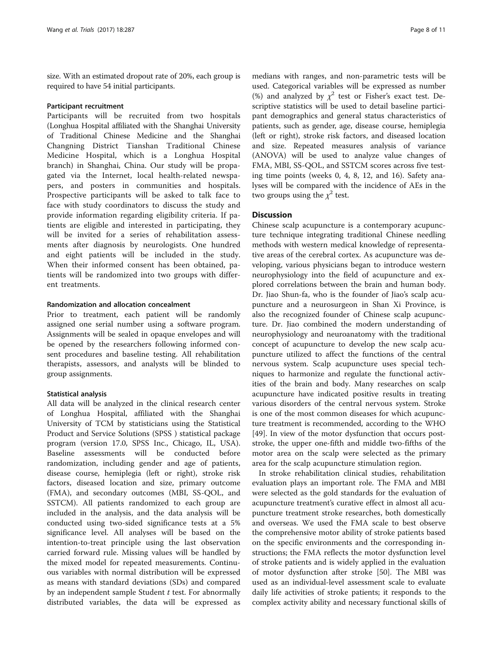size. With an estimated dropout rate of 20%, each group is required to have 54 initial participants.

#### Participant recruitment

Participants will be recruited from two hospitals (Longhua Hospital affiliated with the Shanghai University of Traditional Chinese Medicine and the Shanghai Changning District Tianshan Traditional Chinese Medicine Hospital, which is a Longhua Hospital branch) in Shanghai, China. Our study will be propagated via the Internet, local health-related newspapers, and posters in communities and hospitals. Prospective participants will be asked to talk face to face with study coordinators to discuss the study and provide information regarding eligibility criteria. If patients are eligible and interested in participating, they will be invited for a series of rehabilitation assessments after diagnosis by neurologists. One hundred and eight patients will be included in the study. When their informed consent has been obtained, patients will be randomized into two groups with different treatments.

## Randomization and allocation concealment

Prior to treatment, each patient will be randomly assigned one serial number using a software program. Assignments will be sealed in opaque envelopes and will be opened by the researchers following informed consent procedures and baseline testing. All rehabilitation therapists, assessors, and analysts will be blinded to group assignments.

## Statistical analysis

All data will be analyzed in the clinical research center of Longhua Hospital, affiliated with the Shanghai University of TCM by statisticians using the Statistical Product and Service Solutions (SPSS ) statistical package program (version 17.0, SPSS Inc., Chicago, IL, USA). Baseline assessments will be conducted before randomization, including gender and age of patients, disease course, hemiplegia (left or right), stroke risk factors, diseased location and size, primary outcome (FMA), and secondary outcomes (MBI, SS-QOL, and SSTCM). All patients randomized to each group are included in the analysis, and the data analysis will be conducted using two-sided significance tests at a 5% significance level. All analyses will be based on the intention-to-treat principle using the last observation carried forward rule. Missing values will be handled by the mixed model for repeated measurements. Continuous variables with normal distribution will be expressed as means with standard deviations (SDs) and compared by an independent sample Student  $t$  test. For abnormally distributed variables, the data will be expressed as

medians with ranges, and non-parametric tests will be used. Categorical variables will be expressed as number (%) and analyzed by  $\chi^2$  test or Fisher's exact test. Descriptive statistics will be used to detail baseline participant demographics and general status characteristics of patients, such as gender, age, disease course, hemiplegia (left or right), stroke risk factors, and diseased location and size. Repeated measures analysis of variance (ANOVA) will be used to analyze value changes of FMA, MBI, SS-QOL, and SSTCM scores across five testing time points (weeks 0, 4, 8, 12, and 16). Safety analyses will be compared with the incidence of AEs in the two groups using the  $\chi^2$  test.

## **Discussion**

Chinese scalp acupuncture is a contemporary acupuncture technique integrating traditional Chinese needling methods with western medical knowledge of representative areas of the cerebral cortex. As acupuncture was developing, various physicians began to introduce western neurophysiology into the field of acupuncture and explored correlations between the brain and human body. Dr. Jiao Shun-fa, who is the founder of Jiao's scalp acupuncture and a neurosurgeon in Shan Xi Province, is also the recognized founder of Chinese scalp acupuncture. Dr. Jiao combined the modern understanding of neurophysiology and neuroanatomy with the traditional concept of acupuncture to develop the new scalp acupuncture utilized to affect the functions of the central nervous system. Scalp acupuncture uses special techniques to harmonize and regulate the functional activities of the brain and body. Many researches on scalp acupuncture have indicated positive results in treating various disorders of the central nervous system. Stroke is one of the most common diseases for which acupuncture treatment is recommended, according to the WHO [[49\]](#page-10-0). In view of the motor dysfunction that occurs poststroke, the upper one-fifth and middle two-fifths of the motor area on the scalp were selected as the primary area for the scalp acupuncture stimulation region.

In stroke rehabilitation clinical studies, rehabilitation evaluation plays an important role. The FMA and MBI were selected as the gold standards for the evaluation of acupuncture treatment's curative effect in almost all acupuncture treatment stroke researches, both domestically and overseas. We used the FMA scale to best observe the comprehensive motor ability of stroke patients based on the specific environments and the corresponding instructions; the FMA reflects the motor dysfunction level of stroke patients and is widely applied in the evaluation of motor dysfunction after stroke [\[50](#page-10-0)]. The MBI was used as an individual-level assessment scale to evaluate daily life activities of stroke patients; it responds to the complex activity ability and necessary functional skills of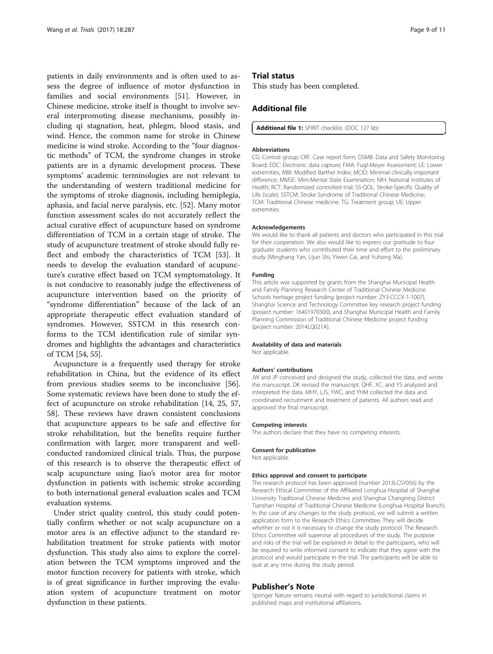<span id="page-8-0"></span>patients in daily environments and is often used to assess the degree of influence of motor dysfunction in families and social environments [[51](#page-10-0)]. However, in Chinese medicine, stroke itself is thought to involve several interpromoting disease mechanisms, possibly including qi stagnation, heat, phlegm, blood stasis, and wind. Hence, the common name for stroke in Chinese medicine is wind stroke. According to the "four diagnostic methods" of TCM, the syndrome changes in stroke patients are in a dynamic development process. These symptoms' academic terminologies are not relevant to the understanding of western traditional medicine for the symptoms of stroke diagnosis, including hemiplegia, aphasia, and facial nerve paralysis, etc. [[52\]](#page-10-0). Many motor function assessment scales do not accurately reflect the actual curative effect of acupuncture based on syndrome differentiation of TCM in a certain stage of stroke. The study of acupuncture treatment of stroke should fully reflect and embody the characteristics of TCM [[53](#page-10-0)]. It needs to develop the evaluation standard of acupuncture's curative effect based on TCM symptomatology. It is not conducive to reasonably judge the effectiveness of acupuncture intervention based on the priority of "syndrome differentiation" because of the lack of an appropriate therapeutic effect evaluation standard of syndromes. However, SSTCM in this research conforms to the TCM identification rule of similar syndromes and highlights the advantages and characteristics of TCM [[54](#page-10-0), [55\]](#page-10-0).

Acupuncture is a frequently used therapy for stroke rehabilitation in China, but the evidence of its effect from previous studies seems to be inconclusive [\[56](#page-10-0)]. Some systematic reviews have been done to study the effect of acupuncture on stroke rehabilitation [[14, 25,](#page-9-0) [57](#page-10-0), [58\]](#page-10-0). These reviews have drawn consistent conclusions that acupuncture appears to be safe and effective for stroke rehabilitation, but the benefits require further confirmation with larger, more transparent and wellconducted randomized clinical trials. Thus, the purpose of this research is to observe the therapeutic effect of scalp acupuncture using Jiao's motor area for motor dysfunction in patients with ischemic stroke according to both international general evaluation scales and TCM evaluation systems.

Under strict quality control, this study could potentially confirm whether or not scalp acupuncture on a motor area is an effective adjunct to the standard rehabilitation treatment for stroke patients with motor dysfunction. This study also aims to explore the correlation between the TCM symptoms improved and the motor function recovery for patients with stroke, which is of great significance in further improving the evaluation system of acupuncture treatment on motor dysfunction in these patients.

#### Trial status

This study has been completed.

## Additional file

[Additional file 1:](dx.doi.org/10.1186/s13063-017-2000-x) SPIRIT checklist. (DOC 127 kb)

#### Abbreviations

CG: Control group; CRF: Case report form; DSMB: Data and Safety Monitoring Board; EDC: Electronic data capture; FMA: Fugl-Meyer Assessment; LE: Lower extremities; MBI: Modified Barthel Index; MCID: Minimal clinically important difference; MMSE: Mini-Mental State Examination; NIH: National Institutes of Health; RCT: Randomized controlled trial; SS-QOL: Stroke-Specific Quality of Life (scale); SSTCM: Stroke Syndrome of Traditional Chinese Medicine; TCM: Traditional Chinese medicine; TG: Treatment group; UE: Upper extremities

#### Acknowledgements

We would like to thank all patients and doctors who participated in this trial for their cooperation. We also would like to express our gratitude to four graduate students who contributed their time and effort to the preliminary study (Minghang Yan, Lijun Shi, Yiwen Cai, and Yuhong Ma).

#### Funding

This article was supported by grants from the Shanghai Municipal Health and Family Planning Research Center of Traditional Chinese Medicine Schools heritage project funding (project number: ZY3-CCCX-1-1007), Shanghai Science and Technology Committee key research project funding (project number: 16401970300), and Shanghai Municipal Health and Family Planning Commission of Traditional Chinese Medicine project funding (project number: 2014LQ021A).

#### Availability of data and materials

Not applicable.

#### Authors' contributions

JW and JP conceived and designed the study, collected the data, and wrote the manuscript. DK revised the manuscript. QHF, XC, and YS analyzed and interpreted the data. MHY, LJS, YWC, and YHM collected the data and coordinated recruitment and treatment of patients. All authors read and approved the final manuscript.

#### Competing interests

The authors declare that they have no competing interests.

#### Consent for publication

Not applicable.

#### Ethics approval and consent to participate

The research protocol has been approved (number 2013LCSY056) by the Research Ethical Committee of the Affiliated Longhua Hospital of Shanghai University Traditional Chinese Medicine and Shanghai Changning District Tianshan Hospital of Traditional Chinese Medicine (Longhua Hospital Branch). In the case of any changes to the study protocol, we will submit a written application form to the Research Ethics Committee. They will decide whether or not it is necessary to change the study protocol. The Research Ethics Committee will supervise all procedures of the study. The purpose and risks of the trial will be explained in detail to the participants, who will be required to write informed consent to indicate that they agree with the protocol and would participate in the trial. The participants will be able to quit at any time during the study period.

#### Publisher's Note

Springer Nature remains neutral with regard to jurisdictional claims in published maps and institutional affiliations.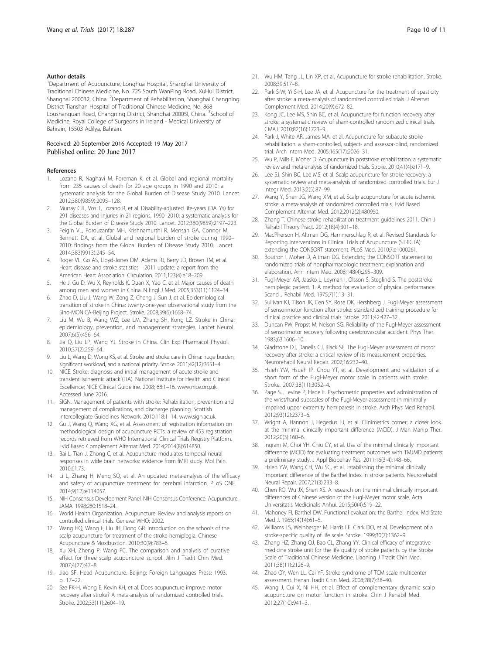#### <span id="page-9-0"></span>Author details

<sup>1</sup>Department of Acupuncture, Longhua Hospital, Shanghai University of Traditional Chinese Medicine, No. 725 South WanPing Road, XuHui District, Shanghai 200032, China. <sup>2</sup>Department of Rehabilitation, Shanghai Changning District Tianshan Hospital of Traditional Chinese Medicine, No. 868 Loushanguan Road, Changning District, Shanghai 20005l, China. <sup>3</sup>School of Medicine, Royal College of Surgeons in Ireland - Medical University of Bahrain, 15503 Adilya, Bahrain.

#### Received: 20 September 2016 Accepted: 19 May 2017 Published online: 20 June 2017

#### References

- Lozano R, Naghavi M, Foreman K, et al. Global and regional mortality from 235 causes of death for 20 age groups in 1990 and 2010: a systematic analysis for the Global Burden of Disease Study 2010. Lancet. 2012;380(9859):2095–128.
- 2. Murray CJL, Vos T, Lozano R, et al. Disability-adjusted life-years (DALYs) for 291 diseases and injuries in 21 regions, 1990–2010: a systematic analysis for the Global Burden of Disease Study 2010. Lancet. 2012;380(9859):2197–223.
- 3. Feigin VL, Forouzanfar MH, Krishnamurthi R, Mensah GA, Connor M, Bennett DA, et al. Global and regional burden of stroke during 1990– 2010: findings from the Global Burden of Disease Study 2010. Lancet. 2014;383(9913):245–54.
- 4. Roger VL, Go AS, Lloyd-Jones DM, Adams RJ, Berry JD, Brown TM, et al. Heart disease and stroke statistics—2011 update: a report from the American Heart Association. Circulation. 2011;123(4):e18–209.
- 5. He J, Gu D, Wu X, Reynolds K, Duan X, Yao C, et al. Major causes of death among men and women in China. N Engl J Med. 2005;353(11):1124–34.
- 6. Zhao D, Liu J, Wang W, Zeng Z, Cheng J, Sun J, et al. Epidemiological transition of stroke in China: twenty-one-year observational study from the Sino-MONICA-Beijing Project. Stroke. 2008;39(6):1668–74.
- 7. Liu M, Wu B, Wang WZ, Lee LM, Zhang SH, Kong LZ. Stroke in China: epidemiology, prevention, and management strategies. Lancet Neurol. 2007;6(5):456–64.
- 8. Jia Q, Liu LP, Wang YJ. Stroke in China. Clin Exp Pharmacol Physiol. 2010;37(2):259–64.
- 9. Liu L, Wang D, Wong KS, et al. Stroke and stroke care in China: huge burden, significant workload, and a national priority. Stroke. 2011;42(12):3651–4.
- 10. NICE. Stroke: diagnosis and initial management of acute stroke and transient ischaemic attack (TIA). National Institute for Health and Clinical Excellence: NICE Clinical Guideline. 2008; 68:1–16. [www.nice.org.uk.](http://www.nice.org.uk/) Accessed June 2016.
- 11. SIGN. Management of patients with stroke: Rehabilitation, prevention and management of complications, and discharge planning. Scottish Intercollegiate Guidelines Network. 2010;118:1–14. [www.sign.ac.uk](http://www.sign.ac.uk/).
- 12. Gu J, Wang Q, Wang XG, et al. Assessment of registration information on methodological design of acupuncture RCTs: a review of 453 registration records retrieved from WHO International Clinical Trials Registry Platform. Evid Based Complement Alternat Med. 2014;2014(8):614850.
- 13. Bai L, Tian J, Zhong C, et al. Acupuncture modulates temporal neural responses in wide brain networks: evidence from fMRI study. Mol Pain. 2010;61:73.
- 14. Li L, Zhang H, Meng SQ, et al. An updated meta-analysis of the efficacy and safety of acupuncture treatment for cerebral infarction. PLoS ONE. 2014;9(12):e114057.
- 15. NIH Consensus Development Panel. NIH Consensus Conference. Acupuncture. JAMA. 1998;280:1518–24.
- 16. World Health Organization. Acupuncture: Review and analysis reports on controlled clinical trials. Geneva: WHO; 2002.
- 17. Wang HQ, Wang F, Liu JH, Dong GR. Introduction on the schools of the scalp acupuncture for treatment of the stroke hemiplegia. Chinese Acupuncture & Moxibustion. 2010;30(9):783–6.
- 18. Xu XH, Zheng P, Wang FC. The comparison and analysis of curative effect for three scalp acupuncture school. Jilin J Tradit Chin Med. 2007;4(27):47–8.
- 19. Jiao SF. Head Acupuncture. Beijing: Foreign Languages Press; 1993. p. 17–22.
- 20. Sze FK-H, Wong E, Kevin KH, et al. Does acupuncture improve motor recovery after stroke? A meta-analysis of randomized controlled trials. Stroke. 2002;33(11):2604–19.
- 21. Wu HM, Tang JL, Lin XP, et al. Acupuncture for stroke rehabilitation. Stroke. 2008;39:517–8.
- 22. Park S-W, Yi S-H, Lee JA, et al. Acupuncture for the treatment of spasticity after stroke: a meta-analysis of randomized controlled trials. J Alternat Complement Med. 2014;20(9):672–82.
- 23. Kong JC, Lee MS, Shin BC, et al. Acupuncture for function recovery after stroke: a systematic review of sham-controlled randomized clinical trials. CMAJ. 2010;82(16):1723–9.
- 24. Park J, White AR, James MA, et al. Acupuncture for subacute stroke rehabilitation: a sham-controlled, subject- and assessor-blind, randomized trial. Arch Intern Med. 2005;165(17):2026–31.
- 25. Wu P, Mills E, Moher D. Acupuncture in poststroke rehabilitation: a systematic review and meta-analysis of randomized trials. Stroke. 2010;41(4):e171–9.
- 26. Lee SJ, Shin BC, Lee MS, et al. Scalp acupuncture for stroke recovery: a systematic review and meta-analysis of randomized controlled trials. Eur J Integr Med. 2013;2(5):87–99.
- 27. Wang Y, Shen JG, Wang XM, et al. Scalp acupuncture for acute ischemic stroke: a meta-analysis of randomized controlled trials. Evid Based Complement Alternat Med. 2012;2012(2):480950.
- 28. Zhang T. Chinese stroke rehabilitation treatment guidelines 2011. Chin J Rehabil Theory Pract. 2012;18(4):301–18.
- 29. MacPherson H, Altman DG, Hammerschlag R, et al. Revised Standards for Reporting Interventions in Clinical Trials of Acupuncture (STRICTA): extending the CONSORT statement. PLoS Med. 2010;7:e1000261.
- 30. Boutron I, Moher D, Altman DG. Extending the CONSORT statement to randomized trials of nonpharmacologic treatment: explanation and elaboration. Ann Intern Med. 2008;148(4):295–309.
- 31. Fugl-Meyer AR, Jaasko L, Leyman I, Olsson S, Steglind S. The poststroke hemiplegic patient. 1. A method for evaluation of physical performance. Scand J Rehabil Med. 1975;7(1):13–31.
- 32. Sullivan KJ, Tilson JK, Cen SY, Rose DK, Hershberg J. Fugl-Meyer assessment of sensorimotor function after stroke: standardized training procedure for clinical practice and clinical trials. Stroke. 2011;42:427–32.
- 33. Duncan PW, Propst M, Nelson SG. Reliability of the Fugl-Meyer assessment of sensorimotor recovery following cerebrovascular accident. Phys Ther. 1983;63:1606–10.
- 34. Gladstone DJ, Danells CJ, Black SE. The Fugl-Meyer assessment of motor recovery after stroke: a critical review of its measurement properties. Neurorehabil Neural Repair. 2002;16:232–40.
- 35. Hsieh YW, Hsueh IP, Chou YT, et al. Development and validation of a short form of the Fugl-Meyer motor scale in patients with stroke. Stroke. 2007;38(11):3052–4.
- 36. Page SJ, Levine P, Hade E. Psychometric properties and administration of the wrist/hand subscales of the Fugl-Meyer assessment in minimally impaired upper extremity hemiparesis in stroke. Arch Phys Med Rehabil. 2012;93(12):2373–6.
- 37. Wright A, Hannon J, Hegedus EJ, et al. Clinimetrics corner: a closer look at the minimal clinically important difference (MCID). J Man Manip Ther. 2012;20(3):160–6.
- 38. Ingram M, Choi YH, Chiu CY, et al. Use of the minimal clinically important difference (MCID) for evaluating treatment outcomes with TMJMD patients: a preliminary study. J Appl Biobehav Res. 2011;16(3-4):148–66.
- 39. Hsieh YW, Wang CH, Wu SC, et al. Establishing the minimal clinically important difference of the Barthel Index in stroke patients. Neurorehabil Neural Repair. 2007;21(3):233–8.
- 40. Chen RQ, Wu JX, Shen XS. A research on the minimal clinically important differences of Chinese version of the Fugl-Meyer motor scale. Acta Universitatis Medicinalis Anhui. 2015;50(4):519–22.
- 41. Mahoney FI, Barthel DW. Functional evaluation: the Barthel Index. Md State Med J. 1965;14(14):61–5.
- 42. Williams LS, Weinberger M, Harris LE, Clark DO, et al. Development of a stroke-specific quality of life scale. Stroke. 1999;30(7):1362–9.
- 43. Zhang HZ, Zhang QJ, Bao CL, Zhang YY. Clinical efficacy of integrative medicine stroke unit for the life quality of stroke patients by the Stroke Scale of Traditional Chinese Medicine. Liaoning J Tradit Chin Med. 2011;38(11):2126–9.
- 44. Zhao QY, Wen LL, Cai YF. Stroke syndrome of TCM scale multicenter assessment. Henan Tradit Chin Med. 2008;28(7):38–40.
- 45. Wang J, Cui X, Ni HH, et al. Effect of complementary dynamic scalp acupuncture on motor function in stroke. Chin J Rehabil Med. 2012;27(10):941–3.